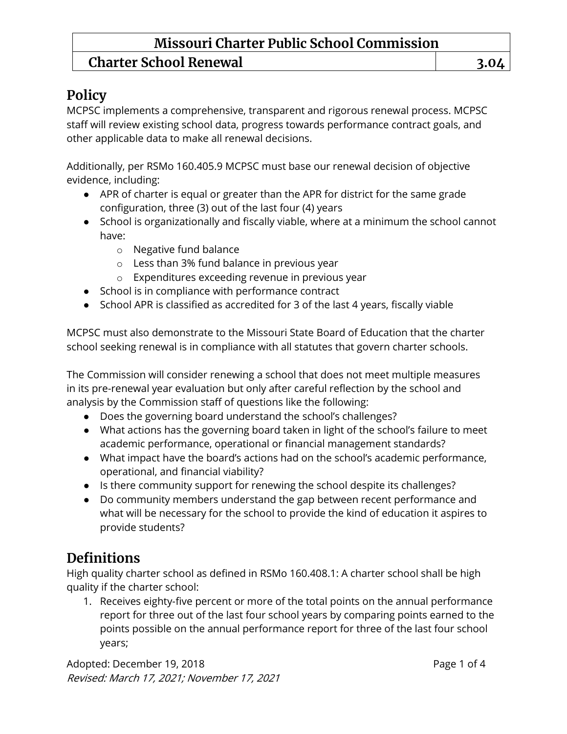### **Missouri Charter Public School Commission Charter School Renewal 3.04**

### **Policy**

MCPSC implements a comprehensive, transparent and rigorous renewal process. MCPSC staff will review existing school data, progress towards performance contract goals, and other applicable data to make all renewal decisions.

Additionally, per RSMo 160.405.9 MCPSC must base our renewal decision of objective evidence, including:

- APR of charter is equal or greater than the APR for district for the same grade configuration, three (3) out of the last four (4) years
- School is organizationally and fiscally viable, where at a minimum the school cannot have:
	- o Negative fund balance
	- o Less than 3% fund balance in previous year
	- o Expenditures exceeding revenue in previous year
- School is in compliance with performance contract
- School APR is classified as accredited for 3 of the last 4 years, fiscally viable

MCPSC must also demonstrate to the Missouri State Board of Education that the charter school seeking renewal is in compliance with all statutes that govern charter schools.

The Commission will consider renewing a school that does not meet multiple measures in its pre-renewal year evaluation but only after careful reflection by the school and analysis by the Commission staff of questions like the following:

- Does the governing board understand the school's challenges?
- What actions has the governing board taken in light of the school's failure to meet academic performance, operational or financial management standards?
- What impact have the board's actions had on the school's academic performance, operational, and financial viability?
- Is there community support for renewing the school despite its challenges?
- Do community members understand the gap between recent performance and what will be necessary for the school to provide the kind of education it aspires to provide students?

### **Definitions**

High quality charter school as defined in RSMo 160.408.1: A charter school shall be high quality if the charter school:

1. Receives eighty-five percent or more of the total points on the annual performance report for three out of the last four school years by comparing points earned to the points possible on the annual performance report for three of the last four school years;

Adopted: December 19, 2018 **Page 1 of 4** Revised: March 17, 2021; November 17, 2021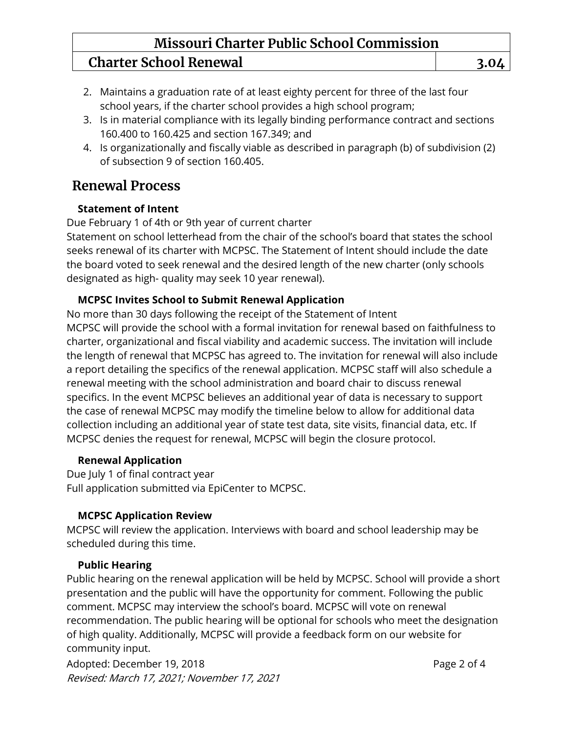# **Missouri Charter Public School Commission**

### **Charter School Renewal 3.04**

- 2. Maintains a graduation rate of at least eighty percent for three of the last four school years, if the charter school provides a high school program;
- 3. Is in material compliance with its legally binding performance contract and sections 160.400 to 160.425 and section 167.349; and
- 4. Is organizationally and fiscally viable as described in paragraph (b) of subdivision (2) of subsection 9 of section 160.405.

### **Renewal Process**

### **Statement of Intent**

Due February 1 of 4th or 9th year of current charter

Statement on school letterhead from the chair of the school's board that states the school seeks renewal of its charter with MCPSC. The Statement of Intent should include the date the board voted to seek renewal and the desired length of the new charter (only schools designated as high- quality may seek 10 year renewal).

### **MCPSC Invites School to Submit Renewal Application**

No more than 30 days following the receipt of the Statement of Intent MCPSC will provide the school with a formal invitation for renewal based on faithfulness to charter, organizational and fiscal viability and academic success. The invitation will include the length of renewal that MCPSC has agreed to. The invitation for renewal will also include a report detailing the specifics of the renewal application. MCPSC staff will also schedule a renewal meeting with the school administration and board chair to discuss renewal specifics. In the event MCPSC believes an additional year of data is necessary to support the case of renewal MCPSC may modify the timeline below to allow for additional data collection including an additional year of state test data, site visits, financial data, etc. If MCPSC denies the request for renewal, MCPSC will begin the closure protocol.

### **Renewal Application**

Due July 1 of final contract year Full application submitted via EpiCenter to MCPSC.

### **MCPSC Application Review**

MCPSC will review the application. Interviews with board and school leadership may be scheduled during this time.

### **Public Hearing**

Public hearing on the renewal application will be held by MCPSC. School will provide a short presentation and the public will have the opportunity for comment. Following the public comment. MCPSC may interview the school's board. MCPSC will vote on renewal recommendation. The public hearing will be optional for schools who meet the designation of high quality. Additionally, MCPSC will provide a feedback form on our website for community input.

Adopted: December 19, 2018 **Page 2 of 4** Revised: March 17, 2021; November 17, 2021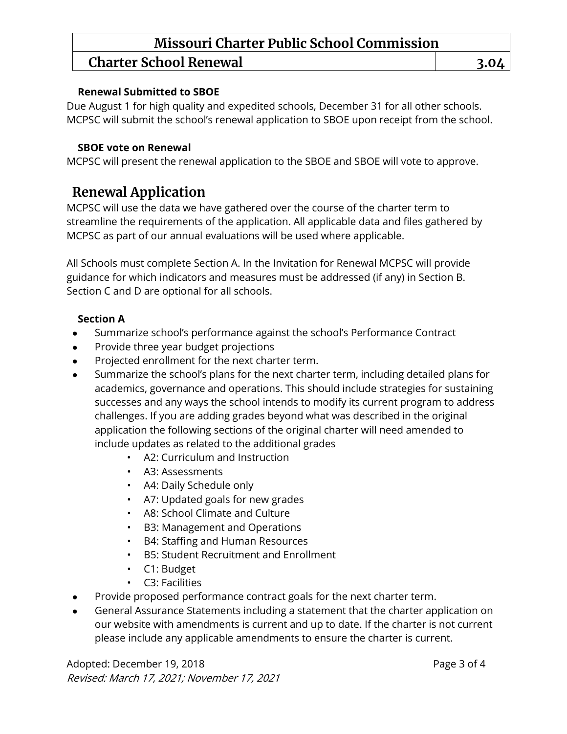## **Missouri Charter Public School Commission**

### **Charter School Renewal 3.04**

#### **Renewal Submitted to SBOE**

Due August 1 for high quality and expedited schools, December 31 for all other schools. MCPSC will submit the school's renewal application to SBOE upon receipt from the school.

#### **SBOE vote on Renewal**

MCPSC will present the renewal application to the SBOE and SBOE will vote to approve.

### **Renewal Application**

MCPSC will use the data we have gathered over the course of the charter term to streamline the requirements of the application. All applicable data and files gathered by MCPSC as part of our annual evaluations will be used where applicable.

All Schools must complete Section A. In the Invitation for Renewal MCPSC will provide guidance for which indicators and measures must be addressed (if any) in Section B. Section C and D are optional for all schools.

### **Section A**

- Summarize school's performance against the school's Performance Contract
- Provide three year budget projections
- Projected enrollment for the next charter term.
- Summarize the school's plans for the next charter term, including detailed plans for academics, governance and operations. This should include strategies for sustaining successes and any ways the school intends to modify its current program to address challenges. If you are adding grades beyond what was described in the original application the following sections of the original charter will need amended to include updates as related to the additional grades
	- A2: Curriculum and Instruction
	- A3: Assessments
	- A4: Daily Schedule only
	- A7: Updated goals for new grades
	- A8: School Climate and Culture
	- B3: Management and Operations
	- B4: Staffing and Human Resources
	- B5: Student Recruitment and Enrollment
	- C1: Budget
	- C3: Facilities
- Provide proposed performance contract goals for the next charter term.
- General Assurance Statements including a statement that the charter application on our website with amendments is current and up to date. If the charter is not current please include any applicable amendments to ensure the charter is current.

Adopted: December 19, 2018 **Page 3 of 4** Revised: March 17, 2021; November 17, 2021